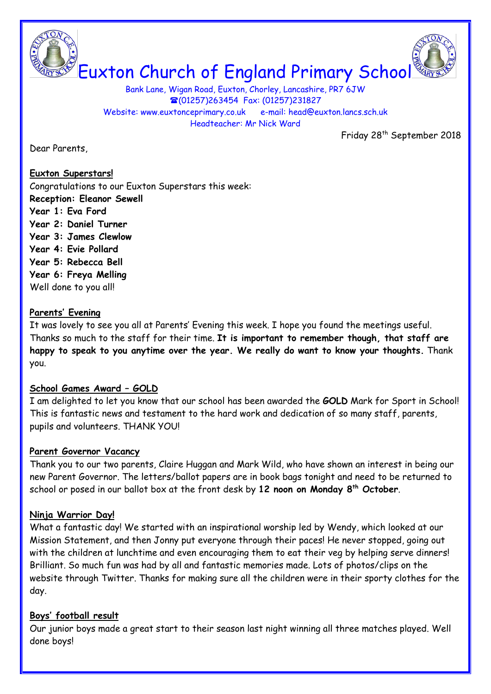

Bank Lane, Wigan Road, Euxton, Chorley, Lancashire, PR7 6JW **■(01257)263454 Fax: (01257)231827** Website: www.euxtonceprimary.co.uk e-mail: [head@euxton.lancs.sch.uk](mailto:head@euxton.lancs.sch.uk) Headteacher: Mr Nick Ward

Friday 28<sup>th</sup> September 2018

Dear Parents,

#### **Euxton Superstars!**

Congratulations to our Euxton Superstars this week: **Reception: Eleanor Sewell Year 1: Eva Ford Year 2: Daniel Turner Year 3: James Clewlow Year 4: Evie Pollard Year 5: Rebecca Bell Year 6: Freya Melling** Well done to you all!

### **Parents' Evening**

It was lovely to see you all at Parents' Evening this week. I hope you found the meetings useful. Thanks so much to the staff for their time. **It is important to remember though, that staff are happy to speak to you anytime over the year. We really do want to know your thoughts.** Thank you.

# **School Games Award – GOLD**

I am delighted to let you know that our school has been awarded the **GOLD** Mark for Sport in School! This is fantastic news and testament to the hard work and dedication of so many staff, parents, pupils and volunteers. THANK YOU!

#### **Parent Governor Vacancy**

Thank you to our two parents, Claire Huggan and Mark Wild, who have shown an interest in being our new Parent Governor. The letters/ballot papers are in book bags tonight and need to be returned to school or posed in our ballot box at the front desk by **12 noon on Monday 8th October**.

# **Ninja Warrior Day!**

What a fantastic day! We started with an inspirational worship led by Wendy, which looked at our Mission Statement, and then Jonny put everyone through their paces! He never stopped, going out with the children at lunchtime and even encouraging them to eat their veg by helping serve dinners! Brilliant. So much fun was had by all and fantastic memories made. Lots of photos/clips on the website through Twitter. Thanks for making sure all the children were in their sporty clothes for the day.

# **Boys' football result**

Our junior boys made a great start to their season last night winning all three matches played. Well done boys!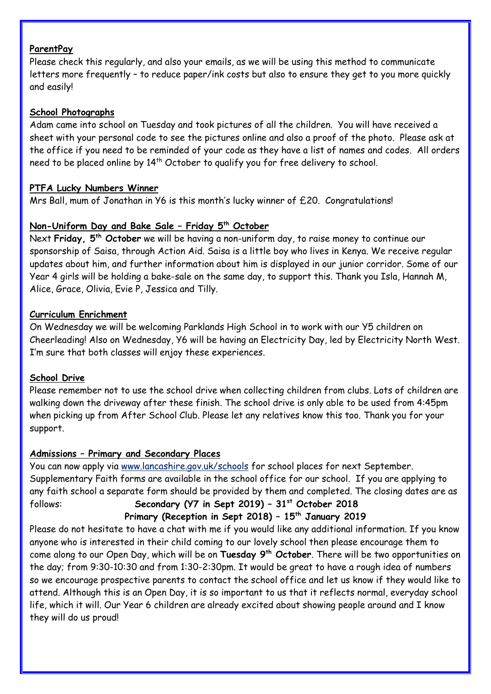### **ParentPay**

Please check this regularly, and also your emails, as we will be using this method to communicate letters more frequently – to reduce paper/ink costs but also to ensure they get to you more quickly and easily!

### **School Photographs**

Adam came into school on Tuesday and took pictures of all the children. You will have received a sheet with your personal code to see the pictures online and also a proof of the photo. Please ask at the office if you need to be reminded of your code as they have a list of names and codes. All orders need to be placed online by 14<sup>th</sup> October to qualify you for free delivery to school.

### **PTFA Lucky Numbers Winner**

Mrs Ball, mum of Jonathan in Y6 is this month's lucky winner of £20. Congratulations!

### **Non-Uniform Day and Bake Sale – Friday 5th October**

Next **Friday, 5 th October** we will be having a non-uniform day, to raise money to continue our sponsorship of Saisa, through Action Aid. Saisa is a little boy who lives in Kenya. We receive regular updates about him, and further information about him is displayed in our junior corridor. Some of our Year 4 girls will be holding a bake-sale on the same day, to support this. Thank you Isla, Hannah M, Alice, Grace, Olivia, Evie P, Jessica and Tilly.

### **Curriculum Enrichment**

On Wednesday we will be welcoming Parklands High School in to work with our Y5 children on Cheerleading! Also on Wednesday, Y6 will be having an Electricity Day, led by Electricity North West. I'm sure that both classes will enjoy these experiences.

# **School Drive**

Please remember not to use the school drive when collecting children from clubs. Lots of children are walking down the driveway after these finish. The school drive is only able to be used from 4:45pm when picking up from After School Club. Please let any relatives know this too. Thank you for your support.

# **Admissions – Primary and Secondary Places**

You can now apply via [www.lancashire.gov.uk/schools](http://www.lancashire.gov.uk/schools) for school places for next September. Supplementary Faith forms are available in the school office for our school. If you are applying to any faith school a separate form should be provided by them and completed. The closing dates are as follows: **Secondary (Y7 in Sept 2019) – 31st October 2018**

# **Primary (Reception in Sept 2018) – 15th January 2019**

Please do not hesitate to have a chat with me if you would like any additional information. If you know anyone who is interested in their child coming to our lovely school then please encourage them to come along to our Open Day, which will be on **Tuesday 9th October**. There will be two opportunities on the day; from 9:30-10:30 and from 1:30-2:30pm. It would be great to have a rough idea of numbers so we encourage prospective parents to contact the school office and let us know if they would like to attend. Although this is an Open Day, it is so important to us that it reflects normal, everyday school life, which it will. Our Year 6 children are already excited about showing people around and I know they will do us proud!